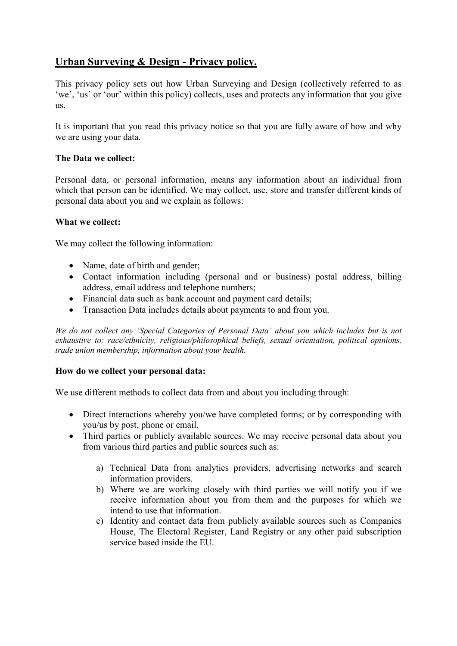# **Urban Surveying & Design - Privacy policy.**

This privacy policy sets out how Urban Surveying and Design (collectively referred to as 'we', 'us' or 'our' within this policy) collects, uses and protects any information that you give us.

It is important that you read this privacy notice so that you are fully aware of how and why we are using your data.

## **The Data we collect:**

Personal data, or personal information, means any information about an individual from which that person can be identified. We may collect, use, store and transfer different kinds of personal data about you and we explain as follows:

## **What we collect:**

We may collect the following information:

- Name, date of birth and gender;
- Contact information including (personal and or business) postal address, billing address, email address and telephone numbers;
- Financial data such as bank account and payment card details:
- Transaction Data includes details about payments to and from you.

*We do not collect any 'Special Categories of Personal Data' about you which includes but is not exhaustive to: race/ethnicity, religious/philosophical beliefs, sexual orientation, political opinions, trade union membership, information about your health.* 

#### **How do we collect your personal data:**

We use different methods to collect data from and about you including through:

- Direct interactions whereby you/we have completed forms; or by corresponding with you/us by post, phone or email.
- Third parties or publicly available sources. We may receive personal data about you from various third parties and public sources such as:
	- a) Technical Data from analytics providers, advertising networks and search information providers.
	- b) Where we are working closely with third parties we will notify you if we receive information about you from them and the purposes for which we intend to use that information.
	- c) Identity and contact data from publicly available sources such as Companies House, The Electoral Register, Land Registry or any other paid subscription service based inside the EU.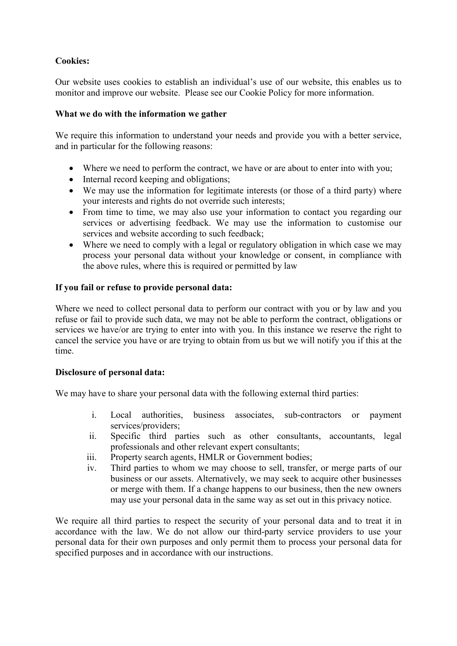# **Cookies:**

Our website uses cookies to establish an individual's use of our website, this enables us to monitor and improve our website. Please see our Cookie Policy for more information.

# **What we do with the information we gather**

We require this information to understand your needs and provide you with a better service, and in particular for the following reasons:

- Where we need to perform the contract, we have or are about to enter into with you;
- Internal record keeping and obligations;
- We may use the information for legitimate interests (or those of a third party) where your interests and rights do not override such interests;
- From time to time, we may also use your information to contact you regarding our services or advertising feedback. We may use the information to customise our services and website according to such feedback;
- Where we need to comply with a legal or regulatory obligation in which case we may process your personal data without your knowledge or consent, in compliance with the above rules, where this is required or permitted by law

# **If you fail or refuse to provide personal data:**

Where we need to collect personal data to perform our contract with you or by law and you refuse or fail to provide such data, we may not be able to perform the contract, obligations or services we have/or are trying to enter into with you. In this instance we reserve the right to cancel the service you have or are trying to obtain from us but we will notify you if this at the time.

# **Disclosure of personal data:**

We may have to share your personal data with the following external third parties:

- i. Local authorities, business associates, sub-contractors or payment services/providers;
- ii. Specific third parties such as other consultants, accountants, legal professionals and other relevant expert consultants;
- iii. Property search agents, HMLR or Government bodies;
- iv. Third parties to whom we may choose to sell, transfer, or merge parts of our business or our assets. Alternatively, we may seek to acquire other businesses or merge with them. If a change happens to our business, then the new owners may use your personal data in the same way as set out in this privacy notice.

We require all third parties to respect the security of your personal data and to treat it in accordance with the law. We do not allow our third-party service providers to use your personal data for their own purposes and only permit them to process your personal data for specified purposes and in accordance with our instructions.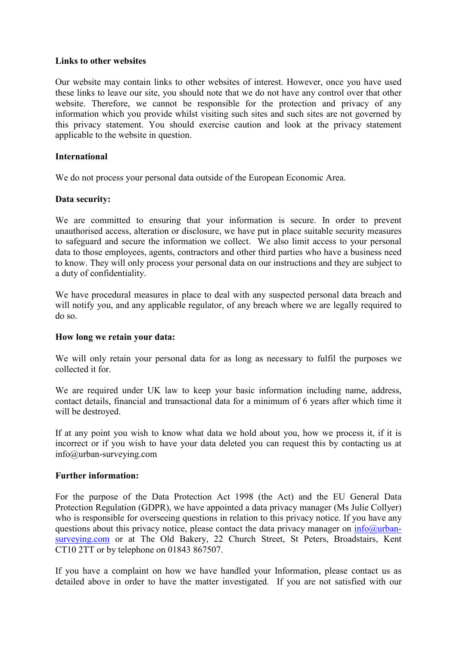#### **Links to other websites**

Our website may contain links to other websites of interest. However, once you have used these links to leave our site, you should note that we do not have any control over that other website. Therefore, we cannot be responsible for the protection and privacy of any information which you provide whilst visiting such sites and such sites are not governed by this privacy statement. You should exercise caution and look at the privacy statement applicable to the website in question.

## **International**

We do not process your personal data outside of the European Economic Area.

## **Data security:**

We are committed to ensuring that your information is secure. In order to prevent unauthorised access, alteration or disclosure, we have put in place suitable security measures to safeguard and secure the information we collect. We also limit access to your personal data to those employees, agents, contractors and other third parties who have a business need to know. They will only process your personal data on our instructions and they are subject to a duty of confidentiality.

We have procedural measures in place to deal with any suspected personal data breach and will notify you, and any applicable regulator, of any breach where we are legally required to do so.

#### **How long we retain your data:**

We will only retain your personal data for as long as necessary to fulfil the purposes we collected it for.

We are required under UK law to keep your basic information including name, address, contact details, financial and transactional data for a minimum of 6 years after which time it will be destroyed.

If at any point you wish to know what data we hold about you, how we process it, if it is incorrect or if you wish to have your data deleted you can request this by contacting us at info@urban-surveying.com

#### **Further information:**

For the purpose of the Data Protection Act 1998 (the Act) and the EU General Data Protection Regulation (GDPR), we have appointed a data privacy manager (Ms Julie Collyer) who is responsible for overseeing questions in relation to this privacy notice. If you have any questions about this privacy notice, please contact the data privacy manager on  $info@urban$ surveying.com or at The Old Bakery, 22 Church Street, St Peters, Broadstairs, Kent CT10 2TT or by telephone on 01843 867507.

If you have a complaint on how we have handled your Information, please contact us as detailed above in order to have the matter investigated. If you are not satisfied with our